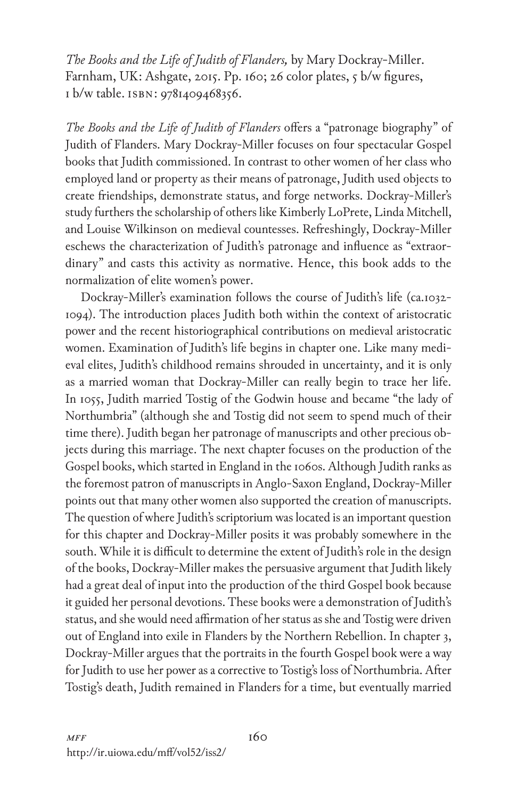*The Books and the Life of Judith of Flanders,* by Mary Dockray-Miller. Farnham, UK: Ashgate, 2015. Pp. 160; 26 color plates, 5 b/w figures, 1 b/w table. isbn: 9781409468356.

*The Books and the Life of Judith of Flanders* offers a "patronage biography" of Judith of Flanders. Mary Dockray-Miller focuses on four spectacular Gospel books that Judith commissioned. In contrast to other women of her class who employed land or property as their means of patronage, Judith used objects to create friendships, demonstrate status, and forge networks. Dockray-Miller's study furthers the scholarship of others like Kimberly LoPrete, Linda Mitchell, and Louise Wilkinson on medieval countesses. Refreshingly, Dockray-Miller eschews the characterization of Judith's patronage and influence as "extraordinary" and casts this activity as normative. Hence, this book adds to the normalization of elite women's power.

Dockray-Miller's examination follows the course of Judith's life (ca.1032- 1094). The introduction places Judith both within the context of aristocratic power and the recent historiographical contributions on medieval aristocratic women. Examination of Judith's life begins in chapter one. Like many medieval elites, Judith's childhood remains shrouded in uncertainty, and it is only as a married woman that Dockray-Miller can really begin to trace her life. In 1055, Judith married Tostig of the Godwin house and became "the lady of Northumbria" (although she and Tostig did not seem to spend much of their time there). Judith began her patronage of manuscripts and other precious objects during this marriage. The next chapter focuses on the production of the Gospel books, which started in England in the 1060s. Although Judith ranks as the foremost patron of manuscripts in Anglo-Saxon England, Dockray-Miller points out that many other women also supported the creation of manuscripts. The question of where Judith's scriptorium was located is an important question for this chapter and Dockray-Miller posits it was probably somewhere in the south. While it is difficult to determine the extent of Judith's role in the design of the books, Dockray-Miller makes the persuasive argument that Judith likely had a great deal of input into the production of the third Gospel book because it guided her personal devotions. These books were a demonstration of Judith's status, and she would need affirmation of her status as she and Tostig were driven out of England into exile in Flanders by the Northern Rebellion. In chapter 3, Dockray-Miller argues that the portraits in the fourth Gospel book were a way for Judith to use her power as a corrective to Tostig's loss of Northumbria. After Tostig's death, Judith remained in Flanders for a time, but eventually married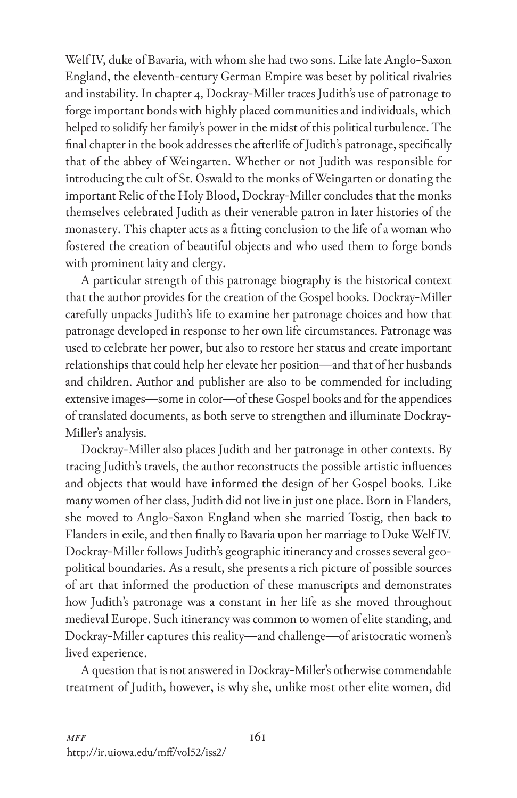Welf IV, duke of Bavaria, with whom she had two sons. Like late Anglo-Saxon England, the eleventh-century German Empire was beset by political rivalries and instability. In chapter 4, Dockray-Miller traces Judith's use of patronage to forge important bonds with highly placed communities and individuals, which helped to solidify her family's power in the midst of this political turbulence. The final chapter in the book addresses the afterlife of Judith's patronage, specifically that of the abbey of Weingarten. Whether or not Judith was responsible for introducing the cult of St. Oswald to the monks of Weingarten or donating the important Relic of the Holy Blood, Dockray-Miller concludes that the monks themselves celebrated Judith as their venerable patron in later histories of the monastery. This chapter acts as a fitting conclusion to the life of a woman who fostered the creation of beautiful objects and who used them to forge bonds with prominent laity and clergy.

A particular strength of this patronage biography is the historical context that the author provides for the creation of the Gospel books. Dockray-Miller carefully unpacks Judith's life to examine her patronage choices and how that patronage developed in response to her own life circumstances. Patronage was used to celebrate her power, but also to restore her status and create important relationships that could help her elevate her position—and that of her husbands and children. Author and publisher are also to be commended for including extensive images—some in color—of these Gospel books and for the appendices of translated documents, as both serve to strengthen and illuminate Dockray-Miller's analysis.

Dockray-Miller also places Judith and her patronage in other contexts. By tracing Judith's travels, the author reconstructs the possible artistic influences and objects that would have informed the design of her Gospel books. Like many women of her class, Judith did not live in just one place. Born in Flanders, she moved to Anglo-Saxon England when she married Tostig, then back to Flanders in exile, and then finally to Bavaria upon her marriage to Duke Welf IV. Dockray-Miller follows Judith's geographic itinerancy and crosses several geopolitical boundaries. As a result, she presents a rich picture of possible sources of art that informed the production of these manuscripts and demonstrates how Judith's patronage was a constant in her life as she moved throughout medieval Europe. Such itinerancy was common to women of elite standing, and Dockray-Miller captures this reality—and challenge—of aristocratic women's lived experience.

A question that is not answered in Dockray-Miller's otherwise commendable treatment of Judith, however, is why she, unlike most other elite women, did